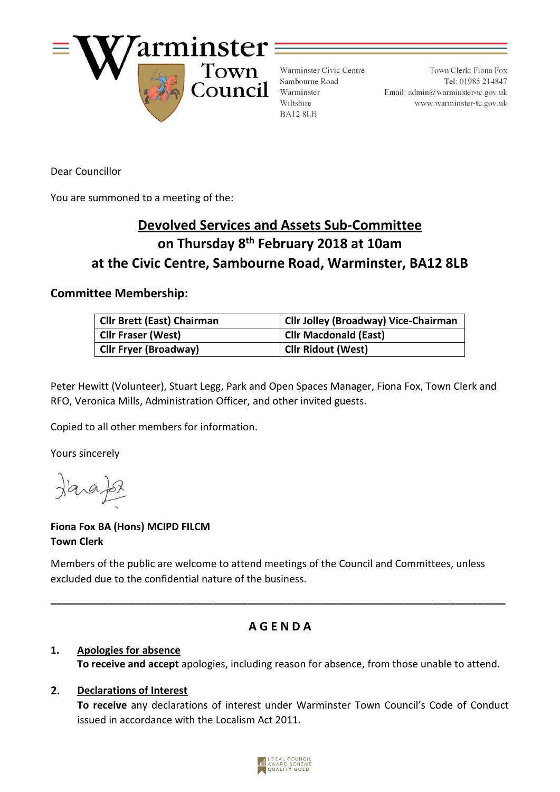

Warminster Civic Centre Sambourne Road Warminster Wiltshire BA12 8LB

Town Clerk: Fiona Fox Tel: 01985 214847 Email:  $\text{admin}\overline{a}$  warminster-tc.gov.uk www.warminster-tc.gov.uk

Dear Councillor

You are summoned to a meeting of the:

# **Devolved Services and Assets Sub-Committee on Thursday 8 th February 2018 at 10am at the Civic Centre, Sambourne Road, Warminster, BA12 8LB**

## **Committee Membership:**

| <b>Cllr Brett (East) Chairman</b> | <b>Cllr Jolley (Broadway) Vice-Chairman</b> |
|-----------------------------------|---------------------------------------------|
| <b>Clir Fraser (West)</b>         | <b>Cllr Macdonald (East)</b>                |
| <b>Cllr Fryer (Broadway)</b>      | <b>Cllr Ridout (West)</b>                   |

Peter Hewitt (Volunteer), Stuart Legg, Park and Open Spaces Manager, Fiona Fox, Town Clerk and RFO, Veronica Mills, Administration Officer, and other invited guests.

Copied to all other members for information.

Yours sincerely

# **Fiona Fox BA (Hons) MCIPD FILCM Town Clerk**

Members of the public are welcome to attend meetings of the Council and Committees, unless excluded due to the confidential nature of the business.

# **A G E N D A**

**\_\_\_\_\_\_\_\_\_\_\_\_\_\_\_\_\_\_\_\_\_\_\_\_\_\_\_\_\_\_\_\_\_\_\_\_\_\_\_\_\_\_\_\_\_\_\_\_\_\_\_\_\_\_\_\_\_\_\_\_\_\_\_\_\_\_\_\_\_\_\_\_\_\_\_\_\_\_\_\_\_**

#### **1. Apologies for absence To receive and accept** apologies, including reason for absence, from those unable to attend.

#### $2.$ **Declarations of Interest**

**To receive** any declarations of interest under Warminster Town Council's Code of Conduct issued in accordance with the Localism Act 2011.

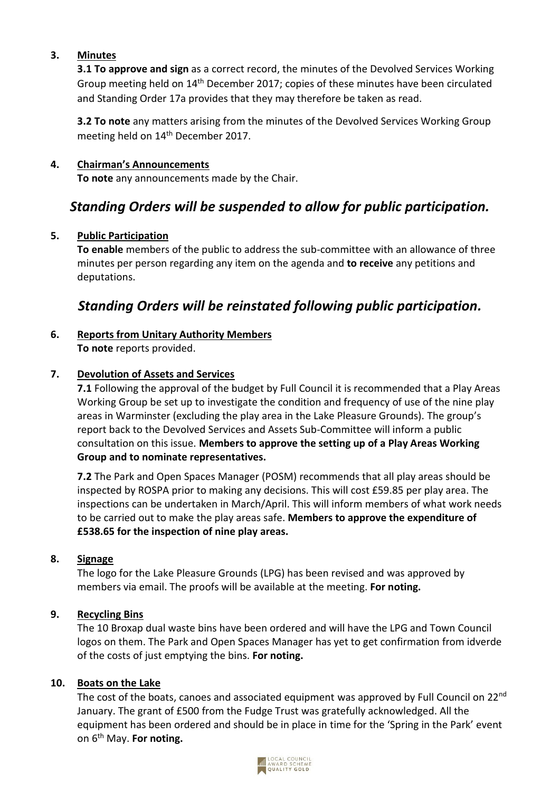#### **3. Minutes**

**3.1 To approve and sign** as a correct record, the minutes of the Devolved Services Working Group meeting held on 14<sup>th</sup> December 2017; copies of these minutes have been circulated and Standing Order 17a provides that they may therefore be taken as read.

**3.2 To note** any matters arising from the minutes of the Devolved Services Working Group meeting held on 14th December 2017.

### **4. Chairman's Announcements**

**To note** any announcements made by the Chair.

# *Standing Orders will be suspended to allow for public participation.*

#### **5. Public Participation**

**To enable** members of the public to address the sub-committee with an allowance of three minutes per person regarding any item on the agenda and **to receive** any petitions and deputations.

# *Standing Orders will be reinstated following public participation.*

#### **6. Reports from Unitary Authority Members To note** reports provided.

#### **7. Devolution of Assets and Services**

**7.1** Following the approval of the budget by Full Council it is recommended that a Play Areas Working Group be set up to investigate the condition and frequency of use of the nine play areas in Warminster (excluding the play area in the Lake Pleasure Grounds). The group's report back to the Devolved Services and Assets Sub-Committee will inform a public consultation on this issue. **Members to approve the setting up of a Play Areas Working Group and to nominate representatives.**

**7.2** The Park and Open Spaces Manager (POSM) recommends that all play areas should be inspected by ROSPA prior to making any decisions. This will cost £59.85 per play area. The inspections can be undertaken in March/April. This will inform members of what work needs to be carried out to make the play areas safe. **Members to approve the expenditure of £538.65 for the inspection of nine play areas.** 

#### **8. Signage**

The logo for the Lake Pleasure Grounds (LPG) has been revised and was approved by members via email. The proofs will be available at the meeting. **For noting.**

#### **9. Recycling Bins**

The 10 Broxap dual waste bins have been ordered and will have the LPG and Town Council logos on them. The Park and Open Spaces Manager has yet to get confirmation from idverde of the costs of just emptying the bins. **For noting.**

#### **10. Boats on the Lake**

The cost of the boats, canoes and associated equipment was approved by Full Council on 22<sup>nd</sup> January. The grant of £500 from the Fudge Trust was gratefully acknowledged. All the equipment has been ordered and should be in place in time for the 'Spring in the Park' event on 6th May. **For noting.**

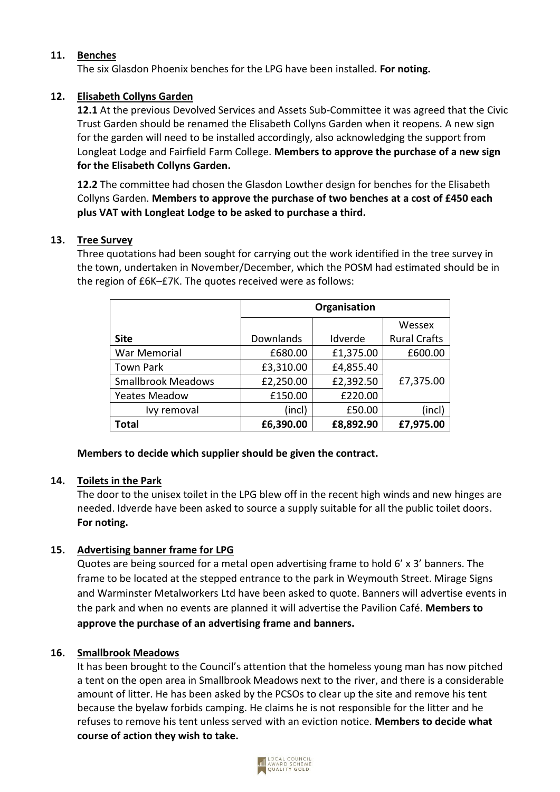### **11. Benches**

The six Glasdon Phoenix benches for the LPG have been installed. **For noting.**

### **12. Elisabeth Collyns Garden**

**12.1** At the previous Devolved Services and Assets Sub-Committee it was agreed that the Civic Trust Garden should be renamed the Elisabeth Collyns Garden when it reopens. A new sign for the garden will need to be installed accordingly, also acknowledging the support from Longleat Lodge and Fairfield Farm College. **Members to approve the purchase of a new sign for the Elisabeth Collyns Garden.**

**12.2** The committee had chosen the Glasdon Lowther design for benches for the Elisabeth Collyns Garden. **Members to approve the purchase of two benches at a cost of £450 each plus VAT with Longleat Lodge to be asked to purchase a third.**

#### **13. Tree Survey**

Three quotations had been sought for carrying out the work identified in the tree survey in the town, undertaken in November/December, which the POSM had estimated should be in the region of £6K–£7K. The quotes received were as follows:

|                           | Organisation |           |                     |
|---------------------------|--------------|-----------|---------------------|
|                           |              |           | Wessex              |
| <b>Site</b>               | Downlands    | Idverde   | <b>Rural Crafts</b> |
| War Memorial              | £680.00      | £1,375.00 | £600.00             |
| <b>Town Park</b>          | £3,310.00    | £4,855.40 |                     |
| <b>Smallbrook Meadows</b> | £2,250.00    | £2,392.50 | £7,375.00           |
| <b>Yeates Meadow</b>      | £150.00      | £220.00   |                     |
| Ivy removal               | (incl)       | £50.00    | (incl)              |
| Total                     | £6,390.00    | £8,892.90 | £7,975.00           |

**Members to decide which supplier should be given the contract.**

#### **14. Toilets in the Park**

The door to the unisex toilet in the LPG blew off in the recent high winds and new hinges are needed. Idverde have been asked to source a supply suitable for all the public toilet doors. **For noting.**

#### **15. Advertising banner frame for LPG**

Quotes are being sourced for a metal open advertising frame to hold 6' x 3' banners. The frame to be located at the stepped entrance to the park in Weymouth Street. Mirage Signs and Warminster Metalworkers Ltd have been asked to quote. Banners will advertise events in the park and when no events are planned it will advertise the Pavilion Café. **Members to approve the purchase of an advertising frame and banners.** 

#### **16. Smallbrook Meadows**

It has been brought to the Council's attention that the homeless young man has now pitched a tent on the open area in Smallbrook Meadows next to the river, and there is a considerable amount of litter. He has been asked by the PCSOs to clear up the site and remove his tent because the byelaw forbids camping. He claims he is not responsible for the litter and he refuses to remove his tent unless served with an eviction notice. **Members to decide what course of action they wish to take.**